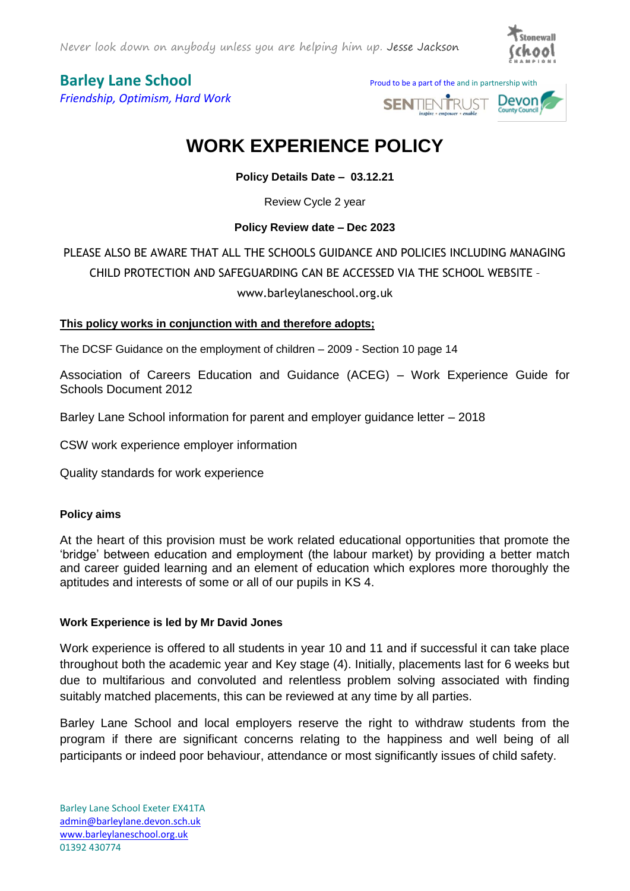

*Friendship, Optimism, Hard Work*

**Barley Lane School** Proud to be a part of the and in partnership with



# **WORK EXPERIENCE POLICY**

**Policy Details Date – 03.12.21**

Review Cycle 2 year

### **Policy Review date – Dec 2023**

# PLEASE ALSO BE AWARE THAT ALL THE SCHOOLS GUIDANCE AND POLICIES INCLUDING MANAGING CHILD PROTECTION AND SAFEGUARDING CAN BE ACCESSED VIA THE SCHOOL WEBSITE – www.barleylaneschool.org.uk

### **This policy works in conjunction with and therefore adopts;**

The DCSF Guidance on the employment of children – 2009 - Section 10 page 14

Association of Careers Education and Guidance (ACEG) – Work Experience Guide for Schools Document 2012

Barley Lane School information for parent and employer guidance letter – 2018

CSW work experience employer information

Quality standards for work experience

### **Policy aims**

At the heart of this provision must be work related educational opportunities that promote the 'bridge' between education and employment (the labour market) by providing a better match and career guided learning and an element of education which explores more thoroughly the aptitudes and interests of some or all of our pupils in KS 4.

### **Work Experience is led by Mr David Jones**

Work experience is offered to all students in year 10 and 11 and if successful it can take place throughout both the academic year and Key stage (4). Initially, placements last for 6 weeks but due to multifarious and convoluted and relentless problem solving associated with finding suitably matched placements, this can be reviewed at any time by all parties.

Barley Lane School and local employers reserve the right to withdraw students from the program if there are significant concerns relating to the happiness and well being of all participants or indeed poor behaviour, attendance or most significantly issues of child safety.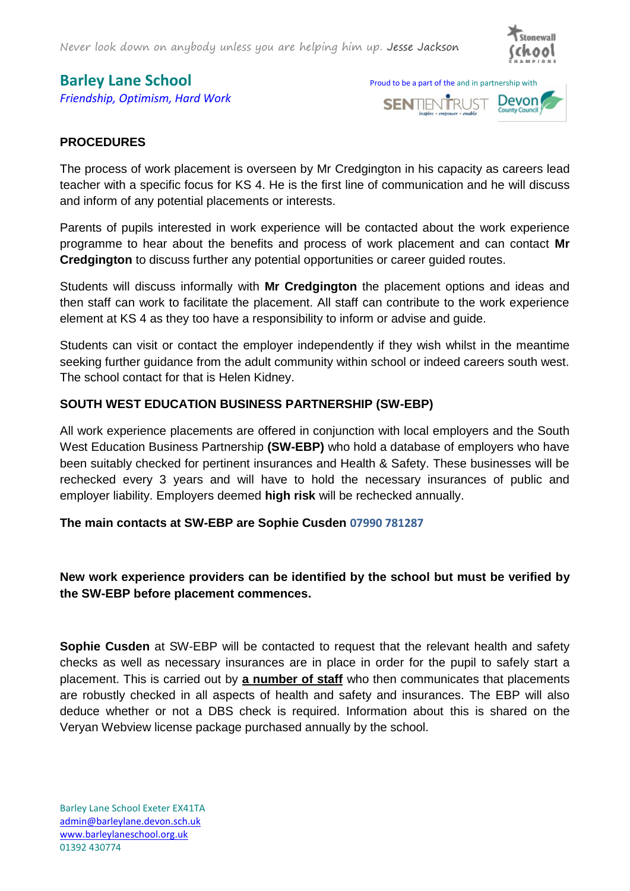Never look down on anybody unless you are helping him up. Jesse Jackson



*Friendship, Optimism, Hard Work*





# **PROCEDURES**

The process of work placement is overseen by Mr Credgington in his capacity as careers lead teacher with a specific focus for KS 4. He is the first line of communication and he will discuss and inform of any potential placements or interests.

Parents of pupils interested in work experience will be contacted about the work experience programme to hear about the benefits and process of work placement and can contact **Mr Credgington** to discuss further any potential opportunities or career guided routes.

Students will discuss informally with **Mr Credgington** the placement options and ideas and then staff can work to facilitate the placement. All staff can contribute to the work experience element at KS 4 as they too have a responsibility to inform or advise and guide.

Students can visit or contact the employer independently if they wish whilst in the meantime seeking further guidance from the adult community within school or indeed careers south west. The school contact for that is Helen Kidney.

### **SOUTH WEST EDUCATION BUSINESS PARTNERSHIP (SW-EBP)**

All work experience placements are offered in conjunction with local employers and the South West Education Business Partnership **(SW-EBP)** who hold a database of employers who have been suitably checked for pertinent insurances and Health & Safety. These businesses will be rechecked every 3 years and will have to hold the necessary insurances of public and employer liability. Employers deemed **high risk** will be rechecked annually.

### **The main contacts at SW-EBP are Sophie Cusden 07990 781287**

## **New work experience providers can be identified by the school but must be verified by the SW-EBP before placement commences.**

**Sophie Cusden** at SW-EBP will be contacted to request that the relevant health and safety checks as well as necessary insurances are in place in order for the pupil to safely start a placement. This is carried out by **a number of staff** who then communicates that placements are robustly checked in all aspects of health and safety and insurances. The EBP will also deduce whether or not a DBS check is required. Information about this is shared on the Veryan Webview license package purchased annually by the school.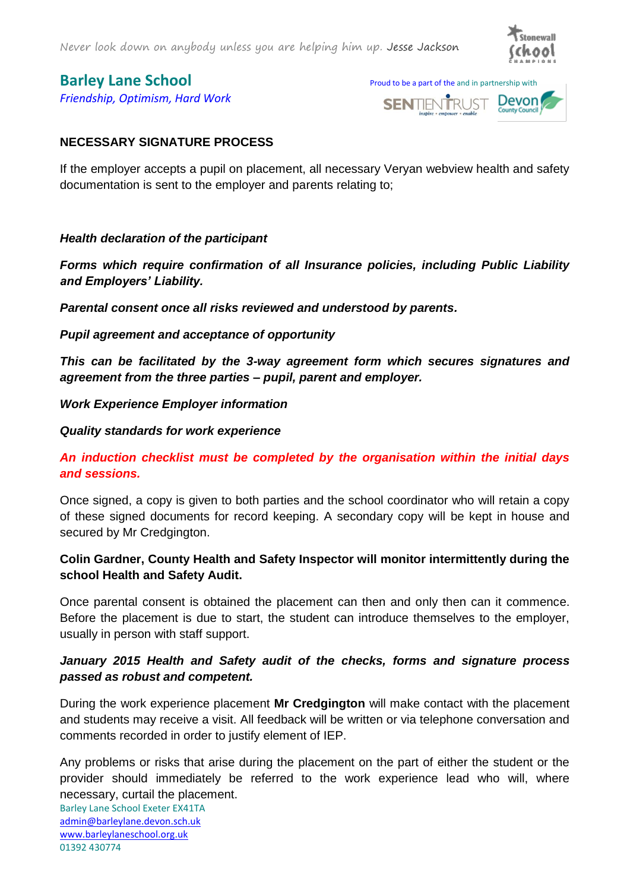

*Friendship, Optimism, Hard Work*

**Barley Lane School** Proud to be a part of the and in partnership with



## **NECESSARY SIGNATURE PROCESS**

If the employer accepts a pupil on placement, all necessary Veryan webview health and safety documentation is sent to the employer and parents relating to;

### *Health declaration of the participant*

*Forms which require confirmation of all Insurance policies, including Public Liability and Employers' Liability.* 

*Parental consent once all risks reviewed and understood by parents.*

*Pupil agreement and acceptance of opportunity*

*This can be facilitated by the 3-way agreement form which secures signatures and agreement from the three parties – pupil, parent and employer.* 

*Work Experience Employer information*

### *Quality standards for work experience*

# *An induction checklist must be completed by the organisation within the initial days and sessions.*

Once signed, a copy is given to both parties and the school coordinator who will retain a copy of these signed documents for record keeping. A secondary copy will be kept in house and secured by Mr Credgington.

## **Colin Gardner, County Health and Safety Inspector will monitor intermittently during the school Health and Safety Audit.**

Once parental consent is obtained the placement can then and only then can it commence. Before the placement is due to start, the student can introduce themselves to the employer, usually in person with staff support.

### *January 2015 Health and Safety audit of the checks, forms and signature process passed as robust and competent.*

During the work experience placement **Mr Credgington** will make contact with the placement and students may receive a visit. All feedback will be written or via telephone conversation and comments recorded in order to justify element of IEP.

Any problems or risks that arise during the placement on the part of either the student or the provider should immediately be referred to the work experience lead who will, where necessary, curtail the placement.